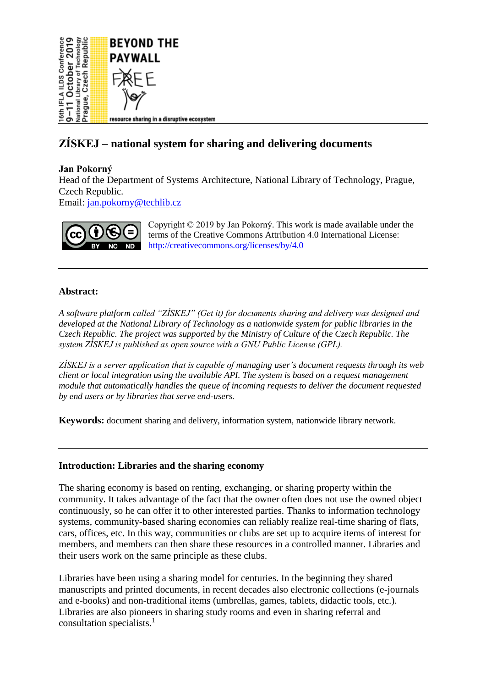

# **ZÍSKEJ – national system for sharing and delivering documents**

# **Jan Pokorný**

Head of the Department of Systems Architecture, National Library of Technology, Prague, Czech Republic.

Email: [jan.pokorny@techlib.cz](mailto:jan.pokorny@techlib.cz)



Copyright © 2019 by Jan Pokorný. This work is made available under the terms of the Creative Commons Attribution 4.0 International License: <http://creativecommons.org/licenses/by/4.0>

# **Abstract:**

*A software platform called "ZÍSKEJ" (Get it) for documents sharing and delivery was designed and developed at the National Library of Technology as a nationwide system for public libraries in the Czech Republic. The project was supported by the Ministry of Culture of the Czech Republic. The system ZÍSKEJ is published as open source with a GNU Public License (GPL).*

*ZÍSKEJ is a server application that is capable of managing user's document requests through its web client or local integration using the available API. The system is based on a request management module that automatically handles the queue of incoming requests to deliver the document requested by end users or by libraries that serve end-users.*

**Keywords:** document sharing and delivery, information system, nationwide library network.

## **Introduction: Libraries and the sharing economy**

The sharing economy is based on renting, exchanging, or sharing property within the community. It takes advantage of the fact that the owner often does not use the owned object continuously, so he can offer it to other interested parties. Thanks to information technology systems, community-based sharing economies can reliably realize real-time sharing of flats, cars, offices, etc. In this way, communities or clubs are set up to acquire items of interest for members, and members can then share these resources in a controlled manner. Libraries and their users work on the same principle as these clubs.

Libraries have been using a sharing model for centuries. In the beginning they shared manuscripts and printed documents, in recent decades also electronic collections (e-journals and e-books) and non-traditional items (umbrellas, games, tablets, didactic tools, etc.). Libraries are also pioneers in sharing study rooms and even in sharing referral and consultation specialists.[1](#page-4-0)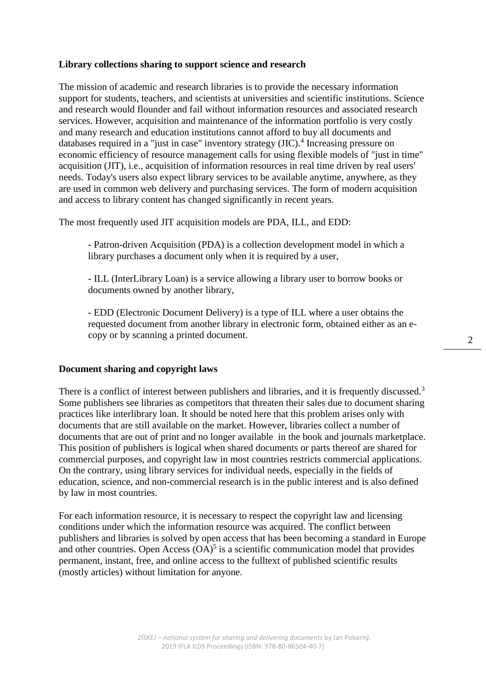## **Library collections sharing to support science and research**

The mission of academic and research libraries is to provide the necessary information support for students, teachers, and scientists at universities and scientific institutions. Science and research would flounder and fail without information resources and associated research services. However, acquisition and maintenance of the information portfolio is very costly and many research and education institutions cannot afford to buy all documents and databases required in a "just in case" inventory strategy (JIC).<sup>[4](#page-4-1)</sup> Increasing pressure on economic efficiency of resource management calls for using flexible models of "just in time" acquisition (JIT), i.e., acquisition of information resources in real time driven by real users' needs. Today's users also expect library services to be available anytime, anywhere, as they are used in common web delivery and purchasing services. The form of modern acquisition and access to library content has changed significantly in recent years.

The most frequently used JIT acquisition models are PDA, ILL, and EDD:

- Patron-driven Acquisition (PDA) is a collection development model in which a library purchases a document only when it is required by a user.

- ILL (InterLibrary Loan) is a service allowing a library user to borrow books or documents owned by another library,

- EDD (Electronic Document Delivery) is a type of ILL where a user obtains the requested document from another library in electronic form, obtained either as an ecopy or by scanning a printed document.

#### **Document sharing and copyright laws**

There is a conflict of interest between publishers and libraries, and it is frequently discussed.<sup>[3](#page-4-2)</sup> Some publishers see libraries as competitors that threaten their sales due to document sharing practices like interlibrary loan. It should be noted here that this problem arises only with documents that are still available on the market. However, libraries collect a number of documents that are out of print and no longer available in the book and journals marketplace. This position of publishers is logical when shared documents or parts thereof are shared for commercial purposes, and copyright law in most countries restricts commercial applications. On the contrary, using library services for individual needs, especially in the fields of education, science, and non-commercial research is in the public interest and is also defined by law in most countries.

For each information resource, it is necessary to respect the copyright law and licensing conditions under which the information resource was acquired. The conflict between publishers and libraries is solved by open access that has been becoming a standard in Europe and other countries. Open Access  $(OA)^5$  $(OA)^5$  is a scientific communication model that provides permanent, instant, free, and online access to the fulltext of published scientific results (mostly articles) without limitation for anyone.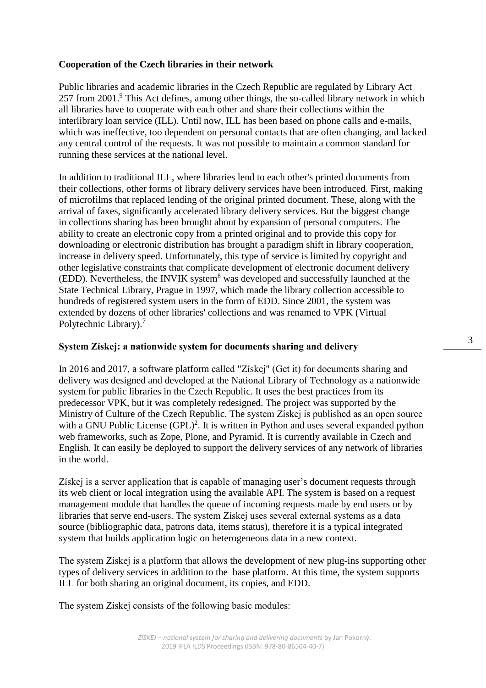# **Cooperation of the Czech libraries in their network**

Public libraries and academic libraries in the Czech Republic are regulated by Library Act 257 from 2001.<sup>[9](#page-4-4)</sup> This Act defines, among other things, the so-called library network in which all libraries have to cooperate with each other and share their collections within the interlibrary loan service (ILL). Until now, ILL has been based on phone calls and e-mails, which was ineffective, too dependent on personal contacts that are often changing, and lacked any central control of the requests. It was not possible to maintain a common standard for running these services at the national level.

In addition to traditional ILL, where libraries lend to each other's printed documents from their collections, other forms of library delivery services have been introduced. First, making of microfilms that replaced lending of the original printed document. These, along with the arrival of faxes, significantly accelerated library delivery services. But the biggest change in collections sharing has been brought about by expansion of personal computers. The ability to create an electronic copy from a printed original and to provide this copy for downloading or electronic distribution has brought a paradigm shift in library cooperation, increase in delivery speed. Unfortunately, this type of service is limited by copyright and other legislative constraints that complicate development of electronic document delivery (EDD). Nevertheless, the INVIK system<sup>[8](#page-4-5)</sup> was developed and successfully launched at the State Technical Library, Prague in 1997, which made the library collection accessible to hundreds of registered system users in the form of EDD. Since 2001, the system was extended by dozens of other libraries' collections and was renamed to VPK (Virtual Polytechnic Library).[7](#page-4-6)

# **System Získej: a nationwide system for documents sharing and delivery**

In 2016 and 2017, a software platform called "Získej" (Get it) for documents sharing and delivery was designed and developed at the National Library of Technology as a nationwide system for public libraries in the Czech Republic. It uses the best practices from its predecessor VPK, but it was completely redesigned. The project was supported by the Ministry of Culture of the Czech Republic. The system Získej is published as an open source with a GNU Public License  $(GPL)^2$ [.](#page-4-7) It is written in Python and uses several expanded python web frameworks, such as Zope, Plone, and Pyramid. It is currently available in Czech and English. It can easily be deployed to support the delivery services of any network of libraries in the world.

Získej is a server application that is capable of managing user's document requests through its web client or local integration using the available API. The system is based on a request management module that handles the queue of incoming requests made by end users or by libraries that serve end-users. The system Získej uses several external systems as a data source (bibliographic data, patrons data, items status), therefore it is a typical integrated system that builds application logic on heterogeneous data in a new context.

The system Získej is a platform that allows the development of new plug-ins supporting other types of delivery services in addition to the base platform. At this time, the system supports ILL for both sharing an original document, its copies, and EDD.

The system Získej consists of the following basic modules: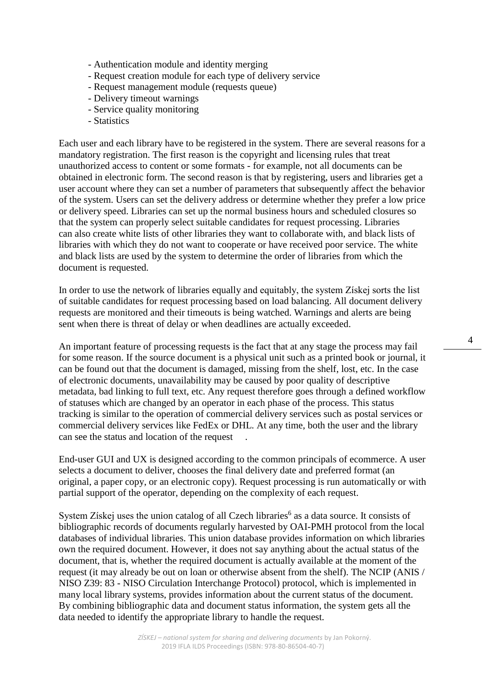- Authentication module and identity merging
- Request creation module for each type of delivery service
- Request management module (requests queue)
- Delivery timeout warnings
- Service quality monitoring
- Statistics

Each user and each library have to be registered in the system. There are several reasons for a mandatory registration. The first reason is the copyright and licensing rules that treat unauthorized access to content or some formats - for example, not all documents can be obtained in electronic form. The second reason is that by registering, users and libraries get a user account where they can set a number of parameters that subsequently affect the behavior of the system. Users can set the delivery address or determine whether they prefer a low price or delivery speed. Libraries can set up the normal business hours and scheduled closures so that the system can properly select suitable candidates for request processing. Libraries can also create white lists of other libraries they want to collaborate with, and black lists of libraries with which they do not want to cooperate or have received poor service. The white and black lists are used by the system to determine the order of libraries from which the document is requested.

In order to use the network of libraries equally and equitably, the system Získej sorts the list of suitable candidates for request processing based on load balancing. All document delivery requests are monitored and their timeouts is being watched. Warnings and alerts are being sent when there is threat of delay or when deadlines are actually exceeded.

An important feature of processing requests is the fact that at any stage the process may fail for some reason. If the source document is a physical unit such as a printed book or journal, it can be found out that the document is damaged, missing from the shelf, lost, etc. In the case of electronic documents, unavailability may be caused by poor quality of descriptive metadata, bad linking to full text, etc. Any request therefore goes through a defined workflow of statuses which are changed by an operator in each phase of the process. This status tracking is similar to the operation of commercial delivery services such as postal services or commercial delivery services like FedEx or DHL. At any time, both the user and the library can see the status and location of the request .

End-user GUI and UX is designed according to the common principals of ecommerce. A user selects a document to deliver, chooses the final delivery date and preferred format (an original, a paper copy, or an electronic copy). Request processing is run automatically or with partial support of the operator, depending on the complexity of each request.

System Získej uses the union catalog of all Czech libraries<sup>[6](#page-4-8)</sup> as a data source. It consists of bibliographic records of documents regularly harvested by OAI-PMH protocol from the local databases of individual libraries. This union database provides information on which libraries own the required document. However, it does not say anything about the actual status of the document, that is, whether the required document is actually available at the moment of the request (it may already be out on loan or otherwise absent from the shelf). The NCIP (ANIS / NISO Z39: 83 - NISO Circulation Interchange Protocol) protocol, which is implemented in many local library systems, provides information about the current status of the document. By combining bibliographic data and document status information, the system gets all the data needed to identify the appropriate library to handle the request.